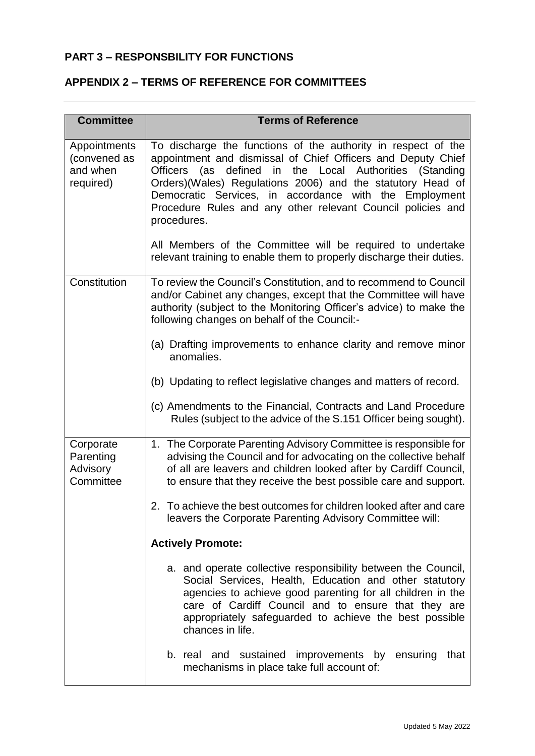## **PART 3 – RESPONSBILITY FOR FUNCTIONS**

## **APPENDIX 2 – TERMS OF REFERENCE FOR COMMITTEES**

| <b>Committee</b>                                      | <b>Terms of Reference</b>                                                                                                                                                                                                                                                                                                                                                                                                                                              |
|-------------------------------------------------------|------------------------------------------------------------------------------------------------------------------------------------------------------------------------------------------------------------------------------------------------------------------------------------------------------------------------------------------------------------------------------------------------------------------------------------------------------------------------|
| Appointments<br>(convened as<br>and when<br>required) | To discharge the functions of the authority in respect of the<br>appointment and dismissal of Chief Officers and Deputy Chief<br>(as defined in the Local Authorities (Standing<br><b>Officers</b><br>Orders)(Wales) Regulations 2006) and the statutory Head of<br>Democratic Services, in accordance with the Employment<br>Procedure Rules and any other relevant Council policies and<br>procedures.<br>All Members of the Committee will be required to undertake |
| Constitution                                          | relevant training to enable them to properly discharge their duties.<br>To review the Council's Constitution, and to recommend to Council<br>and/or Cabinet any changes, except that the Committee will have<br>authority (subject to the Monitoring Officer's advice) to make the<br>following changes on behalf of the Council:-<br>(a) Drafting improvements to enhance clarity and remove minor<br>anomalies.                                                      |
|                                                       | (b) Updating to reflect legislative changes and matters of record.<br>(c) Amendments to the Financial, Contracts and Land Procedure<br>Rules (subject to the advice of the S.151 Officer being sought).                                                                                                                                                                                                                                                                |
| Corporate<br>Parenting<br>Advisory<br>Committee       | 1. The Corporate Parenting Advisory Committee is responsible for<br>advising the Council and for advocating on the collective behalf<br>of all are leavers and children looked after by Cardiff Council,<br>to ensure that they receive the best possible care and support.                                                                                                                                                                                            |
|                                                       | 2. To achieve the best outcomes for children looked after and care<br>leavers the Corporate Parenting Advisory Committee will:                                                                                                                                                                                                                                                                                                                                         |
|                                                       | <b>Actively Promote:</b>                                                                                                                                                                                                                                                                                                                                                                                                                                               |
|                                                       | a. and operate collective responsibility between the Council,<br>Social Services, Health, Education and other statutory<br>agencies to achieve good parenting for all children in the<br>care of Cardiff Council and to ensure that they are<br>appropriately safeguarded to achieve the best possible<br>chances in life.                                                                                                                                             |
|                                                       | b. real and sustained<br>improvements by ensuring<br>that<br>mechanisms in place take full account of:                                                                                                                                                                                                                                                                                                                                                                 |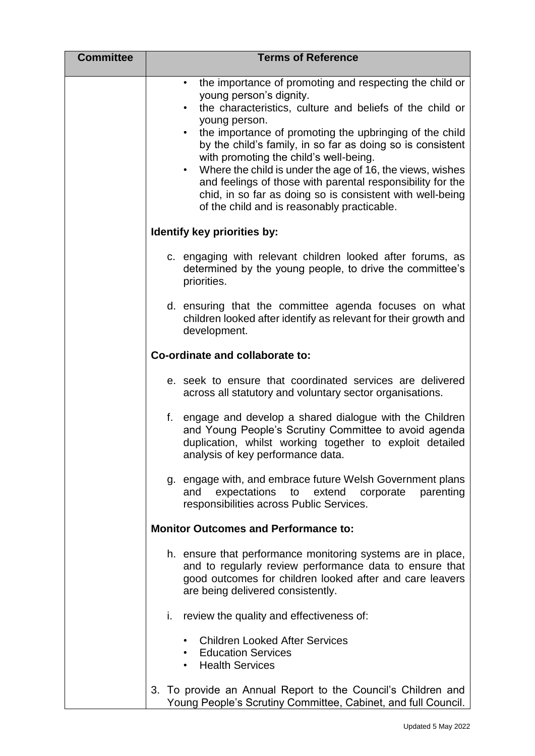| <b>Committee</b> | <b>Terms of Reference</b>                                                                                                                                                                                                                                                                                                                                                                                                                                                                                                                                                                                                     |
|------------------|-------------------------------------------------------------------------------------------------------------------------------------------------------------------------------------------------------------------------------------------------------------------------------------------------------------------------------------------------------------------------------------------------------------------------------------------------------------------------------------------------------------------------------------------------------------------------------------------------------------------------------|
|                  | the importance of promoting and respecting the child or<br>$\bullet$<br>young person's dignity.<br>the characteristics, culture and beliefs of the child or<br>$\bullet$<br>young person.<br>the importance of promoting the upbringing of the child<br>$\bullet$<br>by the child's family, in so far as doing so is consistent<br>with promoting the child's well-being.<br>Where the child is under the age of 16, the views, wishes<br>$\bullet$<br>and feelings of those with parental responsibility for the<br>chid, in so far as doing so is consistent with well-being<br>of the child and is reasonably practicable. |
|                  | Identify key priorities by:                                                                                                                                                                                                                                                                                                                                                                                                                                                                                                                                                                                                   |
|                  | c. engaging with relevant children looked after forums, as<br>determined by the young people, to drive the committee's<br>priorities.                                                                                                                                                                                                                                                                                                                                                                                                                                                                                         |
|                  | d. ensuring that the committee agenda focuses on what<br>children looked after identify as relevant for their growth and<br>development.                                                                                                                                                                                                                                                                                                                                                                                                                                                                                      |
|                  | Co-ordinate and collaborate to:                                                                                                                                                                                                                                                                                                                                                                                                                                                                                                                                                                                               |
|                  | e. seek to ensure that coordinated services are delivered<br>across all statutory and voluntary sector organisations.                                                                                                                                                                                                                                                                                                                                                                                                                                                                                                         |
|                  | f.<br>engage and develop a shared dialogue with the Children<br>and Young People's Scrutiny Committee to avoid agenda<br>duplication, whilst working together to exploit detailed<br>analysis of key performance data.                                                                                                                                                                                                                                                                                                                                                                                                        |
|                  | g. engage with, and embrace future Welsh Government plans<br>expectations<br>extend<br>and<br>to<br>corporate<br>parenting<br>responsibilities across Public Services.                                                                                                                                                                                                                                                                                                                                                                                                                                                        |
|                  | <b>Monitor Outcomes and Performance to:</b>                                                                                                                                                                                                                                                                                                                                                                                                                                                                                                                                                                                   |
|                  | h. ensure that performance monitoring systems are in place,<br>and to regularly review performance data to ensure that<br>good outcomes for children looked after and care leavers<br>are being delivered consistently.                                                                                                                                                                                                                                                                                                                                                                                                       |
|                  | i. review the quality and effectiveness of:                                                                                                                                                                                                                                                                                                                                                                                                                                                                                                                                                                                   |
|                  | <b>Children Looked After Services</b><br><b>Education Services</b><br><b>Health Services</b>                                                                                                                                                                                                                                                                                                                                                                                                                                                                                                                                  |
|                  | 3. To provide an Annual Report to the Council's Children and<br>Young People's Scrutiny Committee, Cabinet, and full Council.                                                                                                                                                                                                                                                                                                                                                                                                                                                                                                 |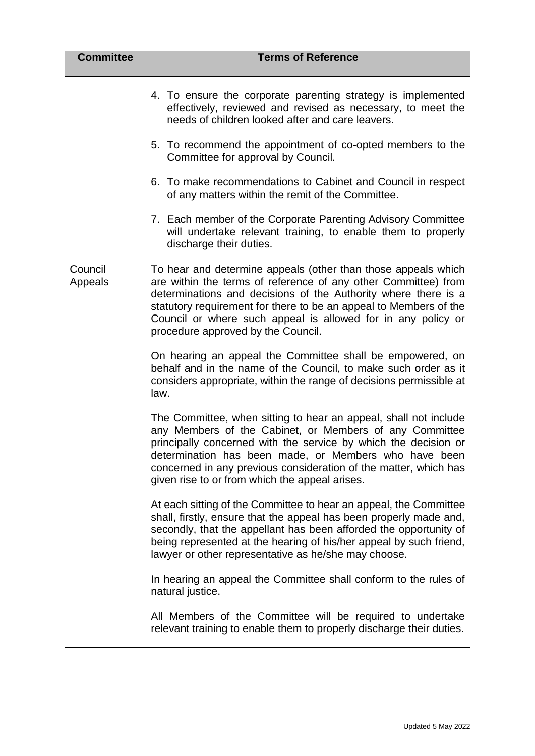| <b>Committee</b>   | <b>Terms of Reference</b>                                                                                                                                                                                                                                                                                                                                                     |
|--------------------|-------------------------------------------------------------------------------------------------------------------------------------------------------------------------------------------------------------------------------------------------------------------------------------------------------------------------------------------------------------------------------|
|                    | 4. To ensure the corporate parenting strategy is implemented<br>effectively, reviewed and revised as necessary, to meet the<br>needs of children looked after and care leavers.                                                                                                                                                                                               |
|                    | 5. To recommend the appointment of co-opted members to the<br>Committee for approval by Council.                                                                                                                                                                                                                                                                              |
|                    | 6. To make recommendations to Cabinet and Council in respect<br>of any matters within the remit of the Committee.                                                                                                                                                                                                                                                             |
|                    | 7. Each member of the Corporate Parenting Advisory Committee<br>will undertake relevant training, to enable them to properly<br>discharge their duties.                                                                                                                                                                                                                       |
| Council<br>Appeals | To hear and determine appeals (other than those appeals which<br>are within the terms of reference of any other Committee) from<br>determinations and decisions of the Authority where there is a<br>statutory requirement for there to be an appeal to Members of the<br>Council or where such appeal is allowed for in any policy or<br>procedure approved by the Council.  |
|                    | On hearing an appeal the Committee shall be empowered, on<br>behalf and in the name of the Council, to make such order as it<br>considers appropriate, within the range of decisions permissible at<br>law.                                                                                                                                                                   |
|                    | The Committee, when sitting to hear an appeal, shall not include<br>any Members of the Cabinet, or Members of any Committee<br>principally concerned with the service by which the decision or<br>determination has been made, or Members who have been<br>concerned in any previous consideration of the matter, which has<br>given rise to or from which the appeal arises. |
|                    | At each sitting of the Committee to hear an appeal, the Committee<br>shall, firstly, ensure that the appeal has been properly made and,<br>secondly, that the appellant has been afforded the opportunity of<br>being represented at the hearing of his/her appeal by such friend,<br>lawyer or other representative as he/she may choose.                                    |
|                    | In hearing an appeal the Committee shall conform to the rules of<br>natural justice.                                                                                                                                                                                                                                                                                          |
|                    | All Members of the Committee will be required to undertake<br>relevant training to enable them to properly discharge their duties.                                                                                                                                                                                                                                            |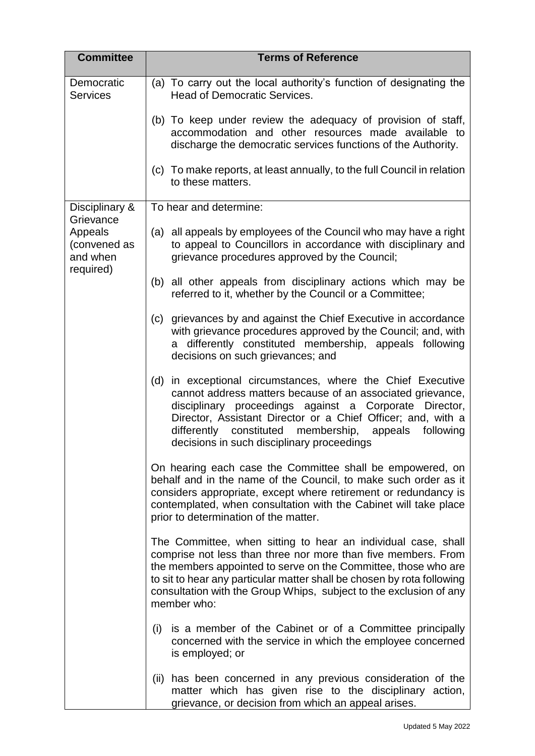| <b>Committee</b>                                 | <b>Terms of Reference</b>                                                                                                                                                                                                                                                                                                                                        |
|--------------------------------------------------|------------------------------------------------------------------------------------------------------------------------------------------------------------------------------------------------------------------------------------------------------------------------------------------------------------------------------------------------------------------|
| Democratic<br><b>Services</b>                    | (a) To carry out the local authority's function of designating the<br><b>Head of Democratic Services.</b>                                                                                                                                                                                                                                                        |
|                                                  | (b) To keep under review the adequacy of provision of staff,<br>accommodation and other resources made available to<br>discharge the democratic services functions of the Authority.                                                                                                                                                                             |
|                                                  | (c) To make reports, at least annually, to the full Council in relation<br>to these matters.                                                                                                                                                                                                                                                                     |
| Disciplinary &<br>Grievance                      | To hear and determine:                                                                                                                                                                                                                                                                                                                                           |
| Appeals<br>(convened as<br>and when<br>required) | (a) all appeals by employees of the Council who may have a right<br>to appeal to Councillors in accordance with disciplinary and<br>grievance procedures approved by the Council;                                                                                                                                                                                |
|                                                  | all other appeals from disciplinary actions which may be<br>(b)<br>referred to it, whether by the Council or a Committee;                                                                                                                                                                                                                                        |
|                                                  | grievances by and against the Chief Executive in accordance<br>(c)<br>with grievance procedures approved by the Council; and, with<br>a differently constituted membership, appeals following<br>decisions on such grievances; and                                                                                                                               |
|                                                  | (d) in exceptional circumstances, where the Chief Executive<br>cannot address matters because of an associated grievance,<br>disciplinary proceedings against a Corporate<br>Director,<br>Director, Assistant Director or a Chief Officer; and, with a<br>differently constituted membership, appeals<br>following<br>decisions in such disciplinary proceedings |
|                                                  | On hearing each case the Committee shall be empowered, on<br>behalf and in the name of the Council, to make such order as it<br>considers appropriate, except where retirement or redundancy is<br>contemplated, when consultation with the Cabinet will take place<br>prior to determination of the matter.                                                     |
|                                                  | The Committee, when sitting to hear an individual case, shall<br>comprise not less than three nor more than five members. From<br>the members appointed to serve on the Committee, those who are<br>to sit to hear any particular matter shall be chosen by rota following<br>consultation with the Group Whips, subject to the exclusion of any<br>member who:  |
|                                                  | (i) is a member of the Cabinet or of a Committee principally<br>concerned with the service in which the employee concerned<br>is employed; or                                                                                                                                                                                                                    |
|                                                  | (ii) has been concerned in any previous consideration of the<br>matter which has given rise to the disciplinary action,<br>grievance, or decision from which an appeal arises.                                                                                                                                                                                   |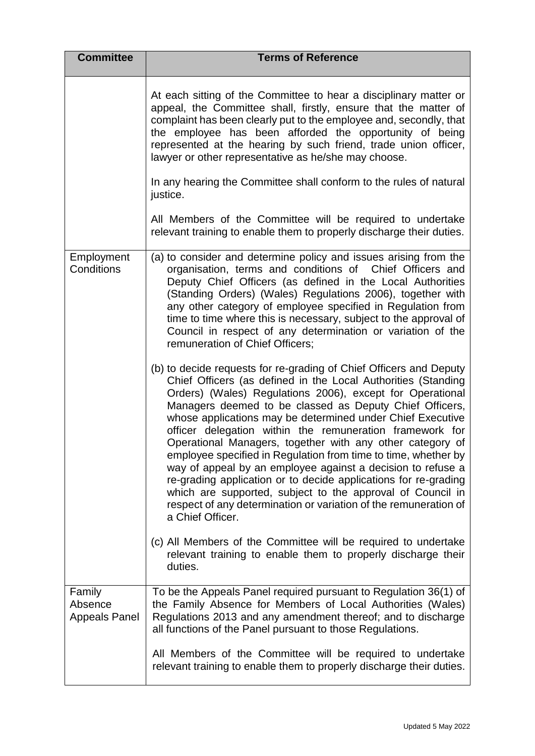| <b>Committee</b>                          | <b>Terms of Reference</b>                                                                                                                                                                                                                                                                                                                                                                                                                                                                                                                                                                                                                                                                                                                                                                                    |
|-------------------------------------------|--------------------------------------------------------------------------------------------------------------------------------------------------------------------------------------------------------------------------------------------------------------------------------------------------------------------------------------------------------------------------------------------------------------------------------------------------------------------------------------------------------------------------------------------------------------------------------------------------------------------------------------------------------------------------------------------------------------------------------------------------------------------------------------------------------------|
|                                           | At each sitting of the Committee to hear a disciplinary matter or<br>appeal, the Committee shall, firstly, ensure that the matter of<br>complaint has been clearly put to the employee and, secondly, that<br>the employee has been afforded the opportunity of being<br>represented at the hearing by such friend, trade union officer,<br>lawyer or other representative as he/she may choose.<br>In any hearing the Committee shall conform to the rules of natural<br>justice.<br>All Members of the Committee will be required to undertake<br>relevant training to enable them to properly discharge their duties.                                                                                                                                                                                     |
|                                           |                                                                                                                                                                                                                                                                                                                                                                                                                                                                                                                                                                                                                                                                                                                                                                                                              |
| Employment<br>Conditions                  | (a) to consider and determine policy and issues arising from the<br>organisation, terms and conditions of Chief Officers and<br>Deputy Chief Officers (as defined in the Local Authorities<br>(Standing Orders) (Wales) Regulations 2006), together with<br>any other category of employee specified in Regulation from<br>time to time where this is necessary, subject to the approval of<br>Council in respect of any determination or variation of the<br>remuneration of Chief Officers;                                                                                                                                                                                                                                                                                                                |
|                                           | (b) to decide requests for re-grading of Chief Officers and Deputy<br>Chief Officers (as defined in the Local Authorities (Standing<br>Orders) (Wales) Regulations 2006), except for Operational<br>Managers deemed to be classed as Deputy Chief Officers,<br>whose applications may be determined under Chief Executive<br>officer delegation within the remuneration framework for<br>Operational Managers, together with any other category of<br>employee specified in Regulation from time to time, whether by<br>way of appeal by an employee against a decision to refuse a<br>re-grading application or to decide applications for re-grading<br>which are supported, subject to the approval of Council in<br>respect of any determination or variation of the remuneration of<br>a Chief Officer. |
|                                           | (c) All Members of the Committee will be required to undertake<br>relevant training to enable them to properly discharge their<br>duties.                                                                                                                                                                                                                                                                                                                                                                                                                                                                                                                                                                                                                                                                    |
| Family<br>Absence<br><b>Appeals Panel</b> | To be the Appeals Panel required pursuant to Regulation 36(1) of<br>the Family Absence for Members of Local Authorities (Wales)<br>Regulations 2013 and any amendment thereof; and to discharge<br>all functions of the Panel pursuant to those Regulations.                                                                                                                                                                                                                                                                                                                                                                                                                                                                                                                                                 |
|                                           | All Members of the Committee will be required to undertake<br>relevant training to enable them to properly discharge their duties.                                                                                                                                                                                                                                                                                                                                                                                                                                                                                                                                                                                                                                                                           |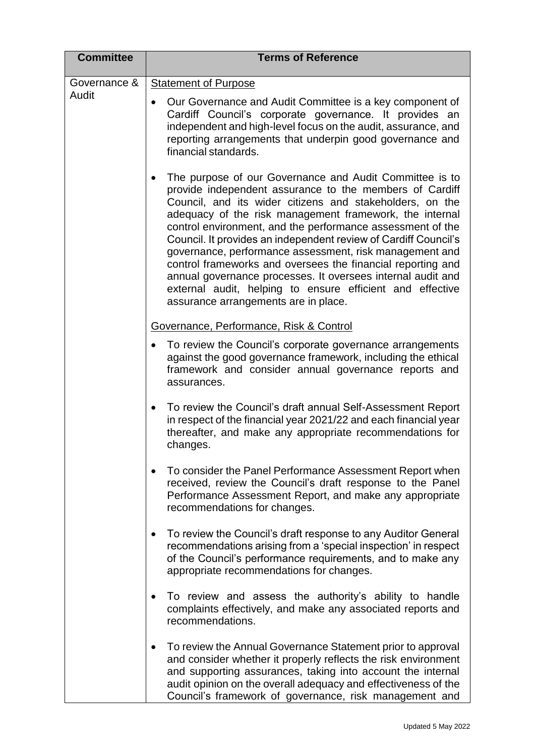| <b>Committee</b> | <b>Terms of Reference</b>                                                                                                                                                                                                                                                                                                                                                                                                                                                                                                                                                                                                                                                             |
|------------------|---------------------------------------------------------------------------------------------------------------------------------------------------------------------------------------------------------------------------------------------------------------------------------------------------------------------------------------------------------------------------------------------------------------------------------------------------------------------------------------------------------------------------------------------------------------------------------------------------------------------------------------------------------------------------------------|
| Governance &     | <b>Statement of Purpose</b>                                                                                                                                                                                                                                                                                                                                                                                                                                                                                                                                                                                                                                                           |
| Audit            | Our Governance and Audit Committee is a key component of<br>$\bullet$<br>Cardiff Council's corporate governance. It provides an<br>independent and high-level focus on the audit, assurance, and<br>reporting arrangements that underpin good governance and<br>financial standards.                                                                                                                                                                                                                                                                                                                                                                                                  |
|                  | The purpose of our Governance and Audit Committee is to<br>$\bullet$<br>provide independent assurance to the members of Cardiff<br>Council, and its wider citizens and stakeholders, on the<br>adequacy of the risk management framework, the internal<br>control environment, and the performance assessment of the<br>Council. It provides an independent review of Cardiff Council's<br>governance, performance assessment, risk management and<br>control frameworks and oversees the financial reporting and<br>annual governance processes. It oversees internal audit and<br>external audit, helping to ensure efficient and effective<br>assurance arrangements are in place. |
|                  | Governance, Performance, Risk & Control                                                                                                                                                                                                                                                                                                                                                                                                                                                                                                                                                                                                                                               |
|                  | To review the Council's corporate governance arrangements<br>$\bullet$<br>against the good governance framework, including the ethical<br>framework and consider annual governance reports and<br>assurances.                                                                                                                                                                                                                                                                                                                                                                                                                                                                         |
|                  | To review the Council's draft annual Self-Assessment Report<br>$\bullet$<br>in respect of the financial year 2021/22 and each financial year<br>thereafter, and make any appropriate recommendations for<br>changes.                                                                                                                                                                                                                                                                                                                                                                                                                                                                  |
|                  | To consider the Panel Performance Assessment Report when<br>received, review the Council's draft response to the Panel<br>Performance Assessment Report, and make any appropriate<br>recommendations for changes.                                                                                                                                                                                                                                                                                                                                                                                                                                                                     |
|                  | To review the Council's draft response to any Auditor General<br>recommendations arising from a 'special inspection' in respect<br>of the Council's performance requirements, and to make any<br>appropriate recommendations for changes.                                                                                                                                                                                                                                                                                                                                                                                                                                             |
|                  | To review and assess the authority's ability to handle<br>complaints effectively, and make any associated reports and<br>recommendations.                                                                                                                                                                                                                                                                                                                                                                                                                                                                                                                                             |
|                  | To review the Annual Governance Statement prior to approval<br>and consider whether it properly reflects the risk environment<br>and supporting assurances, taking into account the internal<br>audit opinion on the overall adequacy and effectiveness of the<br>Council's framework of governance, risk management and                                                                                                                                                                                                                                                                                                                                                              |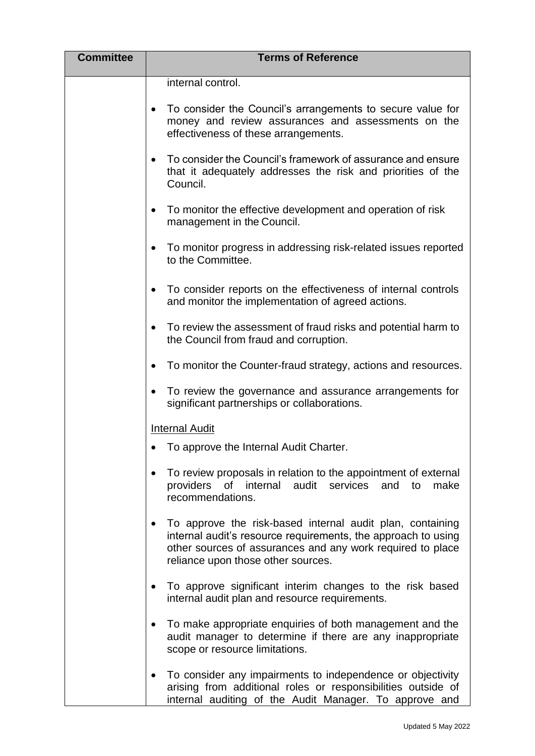| <b>Committee</b> | <b>Terms of Reference</b>                                                                                                                                                                                                                   |
|------------------|---------------------------------------------------------------------------------------------------------------------------------------------------------------------------------------------------------------------------------------------|
|                  | internal control.                                                                                                                                                                                                                           |
|                  | To consider the Council's arrangements to secure value for<br>money and review assurances and assessments on the<br>effectiveness of these arrangements.                                                                                    |
|                  | To consider the Council's framework of assurance and ensure<br>$\bullet$<br>that it adequately addresses the risk and priorities of the<br>Council.                                                                                         |
|                  | To monitor the effective development and operation of risk<br>٠<br>management in the Council.                                                                                                                                               |
|                  | To monitor progress in addressing risk-related issues reported<br>to the Committee.                                                                                                                                                         |
|                  | To consider reports on the effectiveness of internal controls<br>$\bullet$<br>and monitor the implementation of agreed actions.                                                                                                             |
|                  | To review the assessment of fraud risks and potential harm to<br>the Council from fraud and corruption.                                                                                                                                     |
|                  | To monitor the Counter-fraud strategy, actions and resources.                                                                                                                                                                               |
|                  | To review the governance and assurance arrangements for<br>significant partnerships or collaborations.                                                                                                                                      |
|                  | <b>Internal Audit</b>                                                                                                                                                                                                                       |
|                  | To approve the Internal Audit Charter.                                                                                                                                                                                                      |
|                  | To review proposals in relation to the appointment of external<br>providers<br>of internal<br>audit<br>services<br>make<br>and<br>to<br>recommendations.                                                                                    |
|                  | To approve the risk-based internal audit plan, containing<br>$\bullet$<br>internal audit's resource requirements, the approach to using<br>other sources of assurances and any work required to place<br>reliance upon those other sources. |
|                  | To approve significant interim changes to the risk based<br>internal audit plan and resource requirements.                                                                                                                                  |
|                  | To make appropriate enquiries of both management and the<br>audit manager to determine if there are any inappropriate<br>scope or resource limitations.                                                                                     |
|                  | To consider any impairments to independence or objectivity<br>arising from additional roles or responsibilities outside of<br>internal auditing of the Audit Manager. To approve and                                                        |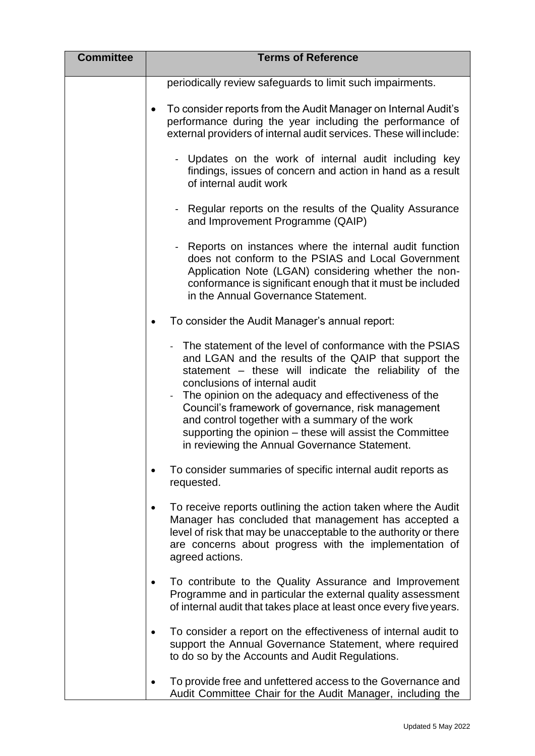| <b>Committee</b> | <b>Terms of Reference</b>                                                                                                                                                                                                                                                                                                                                                                                                                                                                  |
|------------------|--------------------------------------------------------------------------------------------------------------------------------------------------------------------------------------------------------------------------------------------------------------------------------------------------------------------------------------------------------------------------------------------------------------------------------------------------------------------------------------------|
|                  | periodically review safeguards to limit such impairments.                                                                                                                                                                                                                                                                                                                                                                                                                                  |
|                  | To consider reports from the Audit Manager on Internal Audit's<br>$\bullet$<br>performance during the year including the performance of<br>external providers of internal audit services. These will include:                                                                                                                                                                                                                                                                              |
|                  | Updates on the work of internal audit including key<br>findings, issues of concern and action in hand as a result<br>of internal audit work                                                                                                                                                                                                                                                                                                                                                |
|                  | Regular reports on the results of the Quality Assurance<br>$\overline{\phantom{0}}$<br>and Improvement Programme (QAIP)                                                                                                                                                                                                                                                                                                                                                                    |
|                  | Reports on instances where the internal audit function<br>$\overline{\phantom{a}}$<br>does not conform to the PSIAS and Local Government<br>Application Note (LGAN) considering whether the non-<br>conformance is significant enough that it must be included<br>in the Annual Governance Statement.                                                                                                                                                                                      |
|                  | To consider the Audit Manager's annual report:<br>$\bullet$                                                                                                                                                                                                                                                                                                                                                                                                                                |
|                  | The statement of the level of conformance with the PSIAS<br>and LGAN and the results of the QAIP that support the<br>statement – these will indicate the reliability of the<br>conclusions of internal audit<br>The opinion on the adequacy and effectiveness of the<br>Council's framework of governance, risk management<br>and control together with a summary of the work<br>supporting the opinion - these will assist the Committee<br>in reviewing the Annual Governance Statement. |
|                  | To consider summaries of specific internal audit reports as<br>requested.                                                                                                                                                                                                                                                                                                                                                                                                                  |
|                  | To receive reports outlining the action taken where the Audit<br>Manager has concluded that management has accepted a<br>level of risk that may be unacceptable to the authority or there<br>are concerns about progress with the implementation of<br>agreed actions.                                                                                                                                                                                                                     |
|                  | To contribute to the Quality Assurance and Improvement<br>Programme and in particular the external quality assessment<br>of internal audit that takes place at least once every five years.                                                                                                                                                                                                                                                                                                |
|                  | To consider a report on the effectiveness of internal audit to<br>support the Annual Governance Statement, where required<br>to do so by the Accounts and Audit Regulations.                                                                                                                                                                                                                                                                                                               |
|                  | To provide free and unfettered access to the Governance and<br>Audit Committee Chair for the Audit Manager, including the                                                                                                                                                                                                                                                                                                                                                                  |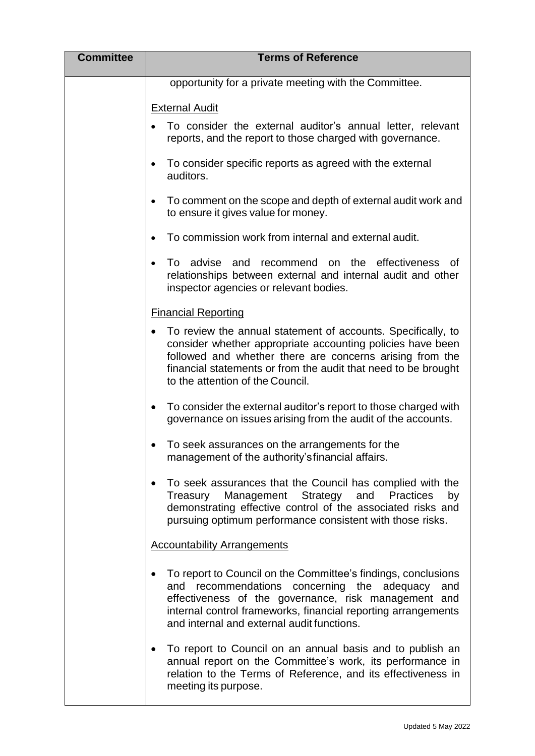| <b>Committee</b> | <b>Terms of Reference</b>                                                                                                                                                                                                                                                                            |
|------------------|------------------------------------------------------------------------------------------------------------------------------------------------------------------------------------------------------------------------------------------------------------------------------------------------------|
|                  | opportunity for a private meeting with the Committee.                                                                                                                                                                                                                                                |
|                  | <b>External Audit</b>                                                                                                                                                                                                                                                                                |
|                  | To consider the external auditor's annual letter, relevant<br>reports, and the report to those charged with governance.                                                                                                                                                                              |
|                  | To consider specific reports as agreed with the external<br>auditors.                                                                                                                                                                                                                                |
|                  | To comment on the scope and depth of external audit work and<br>$\bullet$<br>to ensure it gives value for money.                                                                                                                                                                                     |
|                  | To commission work from internal and external audit.                                                                                                                                                                                                                                                 |
|                  | on the effectiveness<br>To advise and<br>recommend<br>0f<br>relationships between external and internal audit and other<br>inspector agencies or relevant bodies.                                                                                                                                    |
|                  | <b>Financial Reporting</b>                                                                                                                                                                                                                                                                           |
|                  | To review the annual statement of accounts. Specifically, to<br>consider whether appropriate accounting policies have been<br>followed and whether there are concerns arising from the<br>financial statements or from the audit that need to be brought<br>to the attention of the Council.         |
|                  | To consider the external auditor's report to those charged with<br>$\bullet$<br>governance on issues arising from the audit of the accounts.                                                                                                                                                         |
|                  | To seek assurances on the arrangements for the<br>management of the authority's financial affairs.                                                                                                                                                                                                   |
|                  | To seek assurances that the Council has complied with the<br>$\bullet$<br>Management Strategy<br>and<br>Practices<br>Treasury<br>by<br>demonstrating effective control of the associated risks and<br>pursuing optimum performance consistent with those risks.                                      |
|                  | <b>Accountability Arrangements</b>                                                                                                                                                                                                                                                                   |
|                  | To report to Council on the Committee's findings, conclusions<br>$\bullet$<br>and recommendations concerning the adequacy and<br>effectiveness of the governance, risk management and<br>internal control frameworks, financial reporting arrangements<br>and internal and external audit functions. |
|                  | To report to Council on an annual basis and to publish an<br>$\bullet$<br>annual report on the Committee's work, its performance in<br>relation to the Terms of Reference, and its effectiveness in<br>meeting its purpose.                                                                          |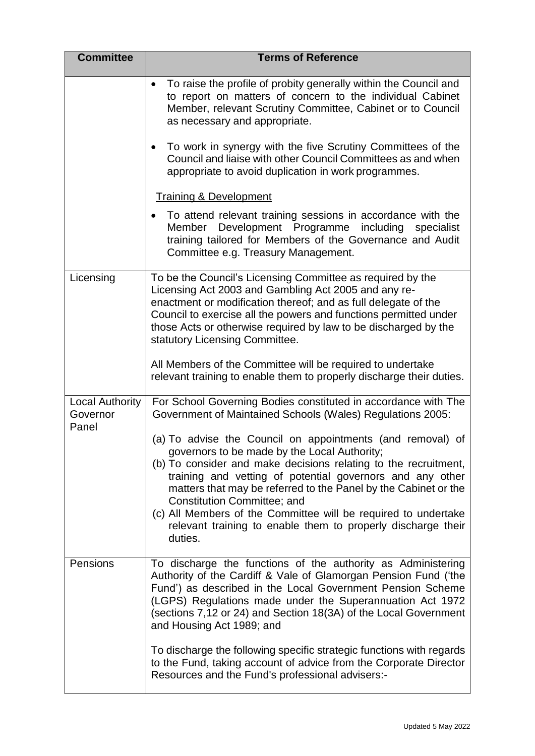| <b>Committee</b>                            | <b>Terms of Reference</b>                                                                                                                                                                                                                                                                                                                                                                                                                                                                        |
|---------------------------------------------|--------------------------------------------------------------------------------------------------------------------------------------------------------------------------------------------------------------------------------------------------------------------------------------------------------------------------------------------------------------------------------------------------------------------------------------------------------------------------------------------------|
|                                             | To raise the profile of probity generally within the Council and<br>$\bullet$<br>to report on matters of concern to the individual Cabinet<br>Member, relevant Scrutiny Committee, Cabinet or to Council<br>as necessary and appropriate.                                                                                                                                                                                                                                                        |
|                                             | To work in synergy with the five Scrutiny Committees of the<br>$\bullet$<br>Council and liaise with other Council Committees as and when<br>appropriate to avoid duplication in work programmes.                                                                                                                                                                                                                                                                                                 |
|                                             | <b>Training &amp; Development</b>                                                                                                                                                                                                                                                                                                                                                                                                                                                                |
|                                             | To attend relevant training sessions in accordance with the<br>Member Development Programme including<br>specialist<br>training tailored for Members of the Governance and Audit<br>Committee e.g. Treasury Management.                                                                                                                                                                                                                                                                          |
| Licensing                                   | To be the Council's Licensing Committee as required by the<br>Licensing Act 2003 and Gambling Act 2005 and any re-<br>enactment or modification thereof; and as full delegate of the<br>Council to exercise all the powers and functions permitted under<br>those Acts or otherwise required by law to be discharged by the<br>statutory Licensing Committee.                                                                                                                                    |
|                                             | All Members of the Committee will be required to undertake<br>relevant training to enable them to properly discharge their duties.                                                                                                                                                                                                                                                                                                                                                               |
| <b>Local Authority</b><br>Governor<br>Panel | For School Governing Bodies constituted in accordance with The<br>Government of Maintained Schools (Wales) Regulations 2005:                                                                                                                                                                                                                                                                                                                                                                     |
|                                             | (a) To advise the Council on appointments (and removal) of<br>governors to be made by the Local Authority;<br>(b) To consider and make decisions relating to the recruitment,<br>training and vetting of potential governors and any other<br>matters that may be referred to the Panel by the Cabinet or the<br><b>Constitution Committee; and</b><br>(c) All Members of the Committee will be required to undertake<br>relevant training to enable them to properly discharge their<br>duties. |
| Pensions                                    | To discharge the functions of the authority as Administering<br>Authority of the Cardiff & Vale of Glamorgan Pension Fund ('the<br>Fund') as described in the Local Government Pension Scheme<br>(LGPS) Regulations made under the Superannuation Act 1972<br>(sections 7,12 or 24) and Section 18(3A) of the Local Government<br>and Housing Act 1989; and                                                                                                                                      |
|                                             | To discharge the following specific strategic functions with regards<br>to the Fund, taking account of advice from the Corporate Director<br>Resources and the Fund's professional advisers:-                                                                                                                                                                                                                                                                                                    |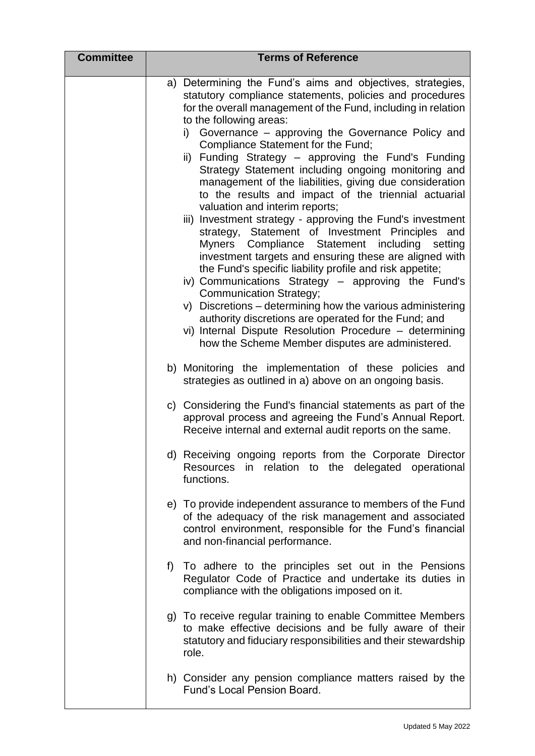| <b>Committee</b> | <b>Terms of Reference</b>                                                                                                                                                                                                                                                                                                                                                                                                                                                                                                                                                                                                                                                                                                                                                                                                                                                                                                                                                                                                                                                                                                                                                                                      |
|------------------|----------------------------------------------------------------------------------------------------------------------------------------------------------------------------------------------------------------------------------------------------------------------------------------------------------------------------------------------------------------------------------------------------------------------------------------------------------------------------------------------------------------------------------------------------------------------------------------------------------------------------------------------------------------------------------------------------------------------------------------------------------------------------------------------------------------------------------------------------------------------------------------------------------------------------------------------------------------------------------------------------------------------------------------------------------------------------------------------------------------------------------------------------------------------------------------------------------------|
|                  | a) Determining the Fund's aims and objectives, strategies,<br>statutory compliance statements, policies and procedures<br>for the overall management of the Fund, including in relation<br>to the following areas:<br>i) Governance - approving the Governance Policy and<br>Compliance Statement for the Fund;<br>ii) Funding Strategy - approving the Fund's Funding<br>Strategy Statement including ongoing monitoring and<br>management of the liabilities, giving due consideration<br>to the results and impact of the triennial actuarial<br>valuation and interim reports;<br>iii) Investment strategy - approving the Fund's investment<br>strategy, Statement of Investment Principles<br>and<br>Myners Compliance Statement including<br>setting<br>investment targets and ensuring these are aligned with<br>the Fund's specific liability profile and risk appetite;<br>iv) Communications Strategy - approving the Fund's<br><b>Communication Strategy;</b><br>v) Discretions – determining how the various administering<br>authority discretions are operated for the Fund; and<br>vi) Internal Dispute Resolution Procedure - determining<br>how the Scheme Member disputes are administered. |
|                  | b) Monitoring the implementation of these policies and<br>strategies as outlined in a) above on an ongoing basis.                                                                                                                                                                                                                                                                                                                                                                                                                                                                                                                                                                                                                                                                                                                                                                                                                                                                                                                                                                                                                                                                                              |
|                  | c) Considering the Fund's financial statements as part of the<br>approval process and agreeing the Fund's Annual Report.<br>Receive internal and external audit reports on the same.                                                                                                                                                                                                                                                                                                                                                                                                                                                                                                                                                                                                                                                                                                                                                                                                                                                                                                                                                                                                                           |
|                  | d) Receiving ongoing reports from the Corporate Director<br>in relation to the delegated operational<br><b>Resources</b><br>functions.                                                                                                                                                                                                                                                                                                                                                                                                                                                                                                                                                                                                                                                                                                                                                                                                                                                                                                                                                                                                                                                                         |
|                  | e) To provide independent assurance to members of the Fund<br>of the adequacy of the risk management and associated<br>control environment, responsible for the Fund's financial<br>and non-financial performance.                                                                                                                                                                                                                                                                                                                                                                                                                                                                                                                                                                                                                                                                                                                                                                                                                                                                                                                                                                                             |
|                  | To adhere to the principles set out in the Pensions<br>f)<br>Regulator Code of Practice and undertake its duties in<br>compliance with the obligations imposed on it.                                                                                                                                                                                                                                                                                                                                                                                                                                                                                                                                                                                                                                                                                                                                                                                                                                                                                                                                                                                                                                          |
|                  | g) To receive regular training to enable Committee Members<br>to make effective decisions and be fully aware of their<br>statutory and fiduciary responsibilities and their stewardship<br>role.                                                                                                                                                                                                                                                                                                                                                                                                                                                                                                                                                                                                                                                                                                                                                                                                                                                                                                                                                                                                               |
|                  | h) Consider any pension compliance matters raised by the<br><b>Fund's Local Pension Board.</b>                                                                                                                                                                                                                                                                                                                                                                                                                                                                                                                                                                                                                                                                                                                                                                                                                                                                                                                                                                                                                                                                                                                 |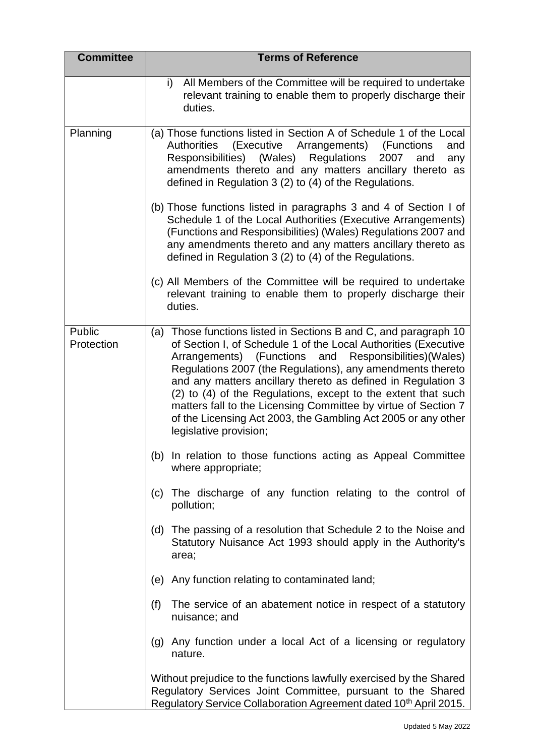| <b>Committee</b>     | <b>Terms of Reference</b>                                                                                                                                                                                                                                                                                                                                                                                                                                                                                                                                   |
|----------------------|-------------------------------------------------------------------------------------------------------------------------------------------------------------------------------------------------------------------------------------------------------------------------------------------------------------------------------------------------------------------------------------------------------------------------------------------------------------------------------------------------------------------------------------------------------------|
|                      | i)<br>All Members of the Committee will be required to undertake<br>relevant training to enable them to properly discharge their<br>duties.                                                                                                                                                                                                                                                                                                                                                                                                                 |
| Planning             | (a) Those functions listed in Section A of Schedule 1 of the Local<br>(Executive Arrangements)<br><b>Authorities</b><br>(Functions<br>and<br>Responsibilities) (Wales)<br>Regulations<br>2007<br>and<br>any<br>amendments thereto and any matters ancillary thereto as<br>defined in Regulation 3 (2) to (4) of the Regulations.                                                                                                                                                                                                                            |
|                      | (b) Those functions listed in paragraphs 3 and 4 of Section I of<br>Schedule 1 of the Local Authorities (Executive Arrangements)<br>(Functions and Responsibilities) (Wales) Regulations 2007 and<br>any amendments thereto and any matters ancillary thereto as<br>defined in Regulation 3 (2) to (4) of the Regulations.                                                                                                                                                                                                                                  |
|                      | (c) All Members of the Committee will be required to undertake<br>relevant training to enable them to properly discharge their<br>duties.                                                                                                                                                                                                                                                                                                                                                                                                                   |
| Public<br>Protection | (a) Those functions listed in Sections B and C, and paragraph 10<br>of Section I, of Schedule 1 of the Local Authorities (Executive<br>and Responsibilities)(Wales)<br>Arrangements) (Functions<br>Regulations 2007 (the Regulations), any amendments thereto<br>and any matters ancillary thereto as defined in Regulation 3<br>(2) to (4) of the Regulations, except to the extent that such<br>matters fall to the Licensing Committee by virtue of Section 7<br>of the Licensing Act 2003, the Gambling Act 2005 or any other<br>legislative provision; |
|                      | (b) In relation to those functions acting as Appeal Committee<br>where appropriate;                                                                                                                                                                                                                                                                                                                                                                                                                                                                         |
|                      | The discharge of any function relating to the control of<br>(c)<br>pollution;                                                                                                                                                                                                                                                                                                                                                                                                                                                                               |
|                      | (d) The passing of a resolution that Schedule 2 to the Noise and<br>Statutory Nuisance Act 1993 should apply in the Authority's<br>area;                                                                                                                                                                                                                                                                                                                                                                                                                    |
|                      | (e) Any function relating to contaminated land;                                                                                                                                                                                                                                                                                                                                                                                                                                                                                                             |
|                      | (f)<br>The service of an abatement notice in respect of a statutory<br>nuisance; and                                                                                                                                                                                                                                                                                                                                                                                                                                                                        |
|                      | Any function under a local Act of a licensing or regulatory<br>(g)<br>nature.                                                                                                                                                                                                                                                                                                                                                                                                                                                                               |
|                      | Without prejudice to the functions lawfully exercised by the Shared<br>Regulatory Services Joint Committee, pursuant to the Shared<br>Regulatory Service Collaboration Agreement dated 10 <sup>th</sup> April 2015.                                                                                                                                                                                                                                                                                                                                         |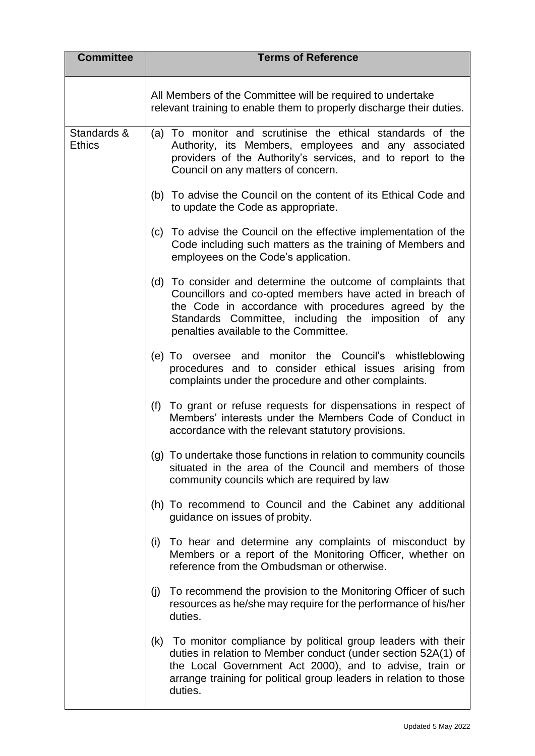| <b>Committee</b>             | <b>Terms of Reference</b>                                                                                                                                                                                                                                                         |
|------------------------------|-----------------------------------------------------------------------------------------------------------------------------------------------------------------------------------------------------------------------------------------------------------------------------------|
|                              | All Members of the Committee will be required to undertake<br>relevant training to enable them to properly discharge their duties.                                                                                                                                                |
| Standards &<br><b>Ethics</b> | (a) To monitor and scrutinise the ethical standards of the<br>Authority, its Members, employees and any associated<br>providers of the Authority's services, and to report to the<br>Council on any matters of concern.                                                           |
|                              | (b) To advise the Council on the content of its Ethical Code and<br>to update the Code as appropriate.                                                                                                                                                                            |
|                              | (c) To advise the Council on the effective implementation of the<br>Code including such matters as the training of Members and<br>employees on the Code's application.                                                                                                            |
|                              | (d) To consider and determine the outcome of complaints that<br>Councillors and co-opted members have acted in breach of<br>the Code in accordance with procedures agreed by the<br>Standards Committee, including the imposition of any<br>penalties available to the Committee. |
|                              | (e) To oversee and monitor the Council's whistleblowing<br>procedures and to consider ethical issues arising from<br>complaints under the procedure and other complaints.                                                                                                         |
|                              | (f)<br>To grant or refuse requests for dispensations in respect of<br>Members' interests under the Members Code of Conduct in<br>accordance with the relevant statutory provisions.                                                                                               |
|                              | (g) To undertake those functions in relation to community councils<br>situated in the area of the Council and members of those<br>community councils which are required by law                                                                                                    |
|                              | (h) To recommend to Council and the Cabinet any additional<br>guidance on issues of probity.                                                                                                                                                                                      |
|                              | To hear and determine any complaints of misconduct by<br>(i)<br>Members or a report of the Monitoring Officer, whether on<br>reference from the Ombudsman or otherwise.                                                                                                           |
|                              | To recommend the provision to the Monitoring Officer of such<br>(j)<br>resources as he/she may require for the performance of his/her<br>duties.                                                                                                                                  |
|                              | (k) To monitor compliance by political group leaders with their<br>duties in relation to Member conduct (under section 52A(1) of<br>the Local Government Act 2000), and to advise, train or<br>arrange training for political group leaders in relation to those<br>duties.       |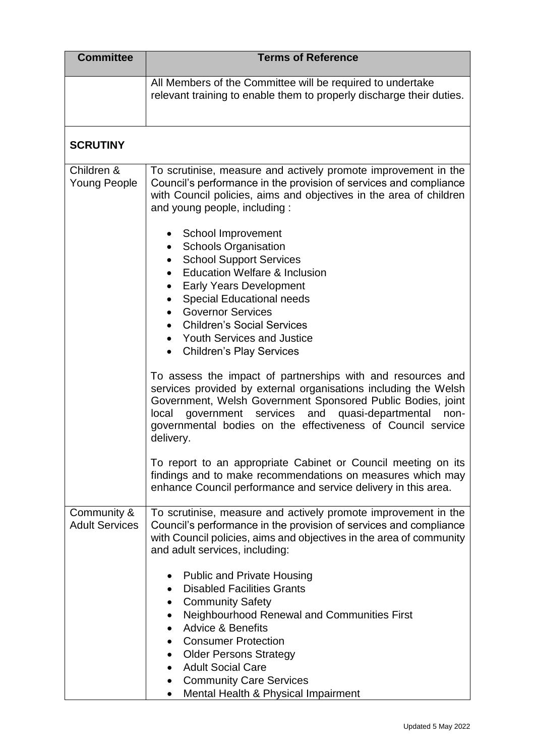| <b>Committee</b>                     | <b>Terms of Reference</b>                                                                                                                                                                                                                                                                                                                                                                                |
|--------------------------------------|----------------------------------------------------------------------------------------------------------------------------------------------------------------------------------------------------------------------------------------------------------------------------------------------------------------------------------------------------------------------------------------------------------|
|                                      | All Members of the Committee will be required to undertake<br>relevant training to enable them to properly discharge their duties.                                                                                                                                                                                                                                                                       |
| <b>SCRUTINY</b>                      |                                                                                                                                                                                                                                                                                                                                                                                                          |
| Children &<br><b>Young People</b>    | To scrutinise, measure and actively promote improvement in the<br>Council's performance in the provision of services and compliance<br>with Council policies, aims and objectives in the area of children<br>and young people, including:                                                                                                                                                                |
|                                      | School Improvement<br><b>Schools Organisation</b><br><b>School Support Services</b><br><b>Education Welfare &amp; Inclusion</b><br><b>Early Years Development</b><br><b>Special Educational needs</b><br><b>Governor Services</b><br><b>Children's Social Services</b><br><b>Youth Services and Justice</b><br><b>Children's Play Services</b><br>$\bullet$                                              |
|                                      | To assess the impact of partnerships with and resources and<br>services provided by external organisations including the Welsh<br>Government, Welsh Government Sponsored Public Bodies, joint<br>government services<br>and quasi-departmental<br>local<br>non-<br>governmental bodies on the effectiveness of Council service<br>delivery.                                                              |
|                                      | To report to an appropriate Cabinet or Council meeting on its<br>findings and to make recommendations on measures which may<br>enhance Council performance and service delivery in this area.                                                                                                                                                                                                            |
| Community &<br><b>Adult Services</b> | To scrutinise, measure and actively promote improvement in the<br>Council's performance in the provision of services and compliance<br>with Council policies, aims and objectives in the area of community<br>and adult services, including:                                                                                                                                                             |
|                                      | <b>Public and Private Housing</b><br><b>Disabled Facilities Grants</b><br><b>Community Safety</b><br>$\bullet$<br>Neighbourhood Renewal and Communities First<br>$\bullet$<br><b>Advice &amp; Benefits</b><br><b>Consumer Protection</b><br><b>Older Persons Strategy</b><br>$\bullet$<br><b>Adult Social Care</b><br><b>Community Care Services</b><br>$\bullet$<br>Mental Health & Physical Impairment |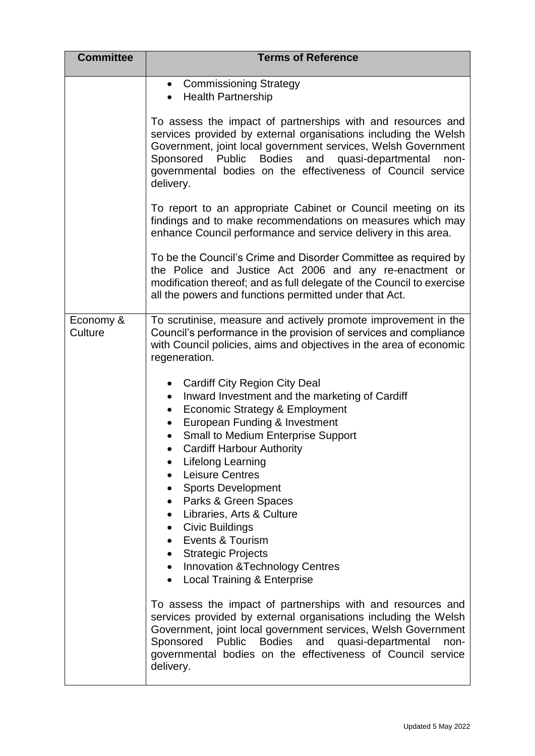| <b>Committee</b>     | <b>Terms of Reference</b>                                                                                                                                                                                                                                                                                                                                                                                                                                                                                                                                                                                                                                                                   |
|----------------------|---------------------------------------------------------------------------------------------------------------------------------------------------------------------------------------------------------------------------------------------------------------------------------------------------------------------------------------------------------------------------------------------------------------------------------------------------------------------------------------------------------------------------------------------------------------------------------------------------------------------------------------------------------------------------------------------|
|                      | <b>Commissioning Strategy</b><br>$\bullet$<br><b>Health Partnership</b>                                                                                                                                                                                                                                                                                                                                                                                                                                                                                                                                                                                                                     |
|                      | To assess the impact of partnerships with and resources and<br>services provided by external organisations including the Welsh<br>Government, joint local government services, Welsh Government<br><b>Bodies</b><br>and<br>Sponsored Public<br>quasi-departmental<br>non-<br>governmental bodies on the effectiveness of Council service<br>delivery.                                                                                                                                                                                                                                                                                                                                       |
|                      | To report to an appropriate Cabinet or Council meeting on its<br>findings and to make recommendations on measures which may<br>enhance Council performance and service delivery in this area.                                                                                                                                                                                                                                                                                                                                                                                                                                                                                               |
|                      | To be the Council's Crime and Disorder Committee as required by<br>the Police and Justice Act 2006 and any re-enactment or<br>modification thereof; and as full delegate of the Council to exercise<br>all the powers and functions permitted under that Act.                                                                                                                                                                                                                                                                                                                                                                                                                               |
| Economy &<br>Culture | To scrutinise, measure and actively promote improvement in the<br>Council's performance in the provision of services and compliance<br>with Council policies, aims and objectives in the area of economic<br>regeneration.                                                                                                                                                                                                                                                                                                                                                                                                                                                                  |
|                      | <b>Cardiff City Region City Deal</b><br>Inward Investment and the marketing of Cardiff<br>$\bullet$<br><b>Economic Strategy &amp; Employment</b><br>$\bullet$<br>European Funding & Investment<br>Small to Medium Enterprise Support<br><b>Cardiff Harbour Authority</b><br><b>Lifelong Learning</b><br><b>Leisure Centres</b><br><b>Sports Development</b><br>$\bullet$<br>Parks & Green Spaces<br>$\bullet$<br>Libraries, Arts & Culture<br>$\bullet$<br><b>Civic Buildings</b><br>$\bullet$<br>Events & Tourism<br>$\bullet$<br><b>Strategic Projects</b><br>$\bullet$<br><b>Innovation &amp; Technology Centres</b><br>$\bullet$<br><b>Local Training &amp; Enterprise</b><br>$\bullet$ |
|                      | To assess the impact of partnerships with and resources and<br>services provided by external organisations including the Welsh<br>Government, joint local government services, Welsh Government<br>Sponsored Public Bodies and quasi-departmental<br>non-<br>governmental bodies on the effectiveness of Council service<br>delivery.                                                                                                                                                                                                                                                                                                                                                       |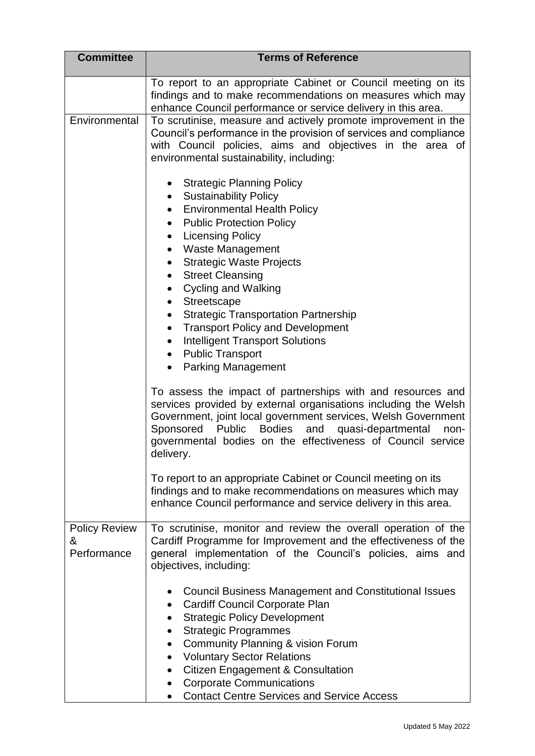| <b>Committee</b>                         | <b>Terms of Reference</b>                                                                                                                                                                                                                                                                                                                                                                                                                                                                                                                                                                                                                        |
|------------------------------------------|--------------------------------------------------------------------------------------------------------------------------------------------------------------------------------------------------------------------------------------------------------------------------------------------------------------------------------------------------------------------------------------------------------------------------------------------------------------------------------------------------------------------------------------------------------------------------------------------------------------------------------------------------|
|                                          | To report to an appropriate Cabinet or Council meeting on its<br>findings and to make recommendations on measures which may<br>enhance Council performance or service delivery in this area.                                                                                                                                                                                                                                                                                                                                                                                                                                                     |
| Environmental                            | To scrutinise, measure and actively promote improvement in the<br>Council's performance in the provision of services and compliance<br>with Council policies, aims and objectives in the area of<br>environmental sustainability, including:                                                                                                                                                                                                                                                                                                                                                                                                     |
|                                          | <b>Strategic Planning Policy</b><br>$\bullet$<br><b>Sustainability Policy</b><br>$\bullet$<br><b>Environmental Health Policy</b><br>$\bullet$<br><b>Public Protection Policy</b><br>$\bullet$<br><b>Licensing Policy</b><br>$\bullet$<br><b>Waste Management</b><br><b>Strategic Waste Projects</b><br>$\bullet$<br><b>Street Cleansing</b><br>$\bullet$<br><b>Cycling and Walking</b><br>$\bullet$<br>Streetscape<br><b>Strategic Transportation Partnership</b><br>$\bullet$<br><b>Transport Policy and Development</b><br>$\bullet$<br><b>Intelligent Transport Solutions</b><br>$\bullet$<br>• Public Transport<br><b>Parking Management</b> |
|                                          | To assess the impact of partnerships with and resources and<br>services provided by external organisations including the Welsh<br>Government, joint local government services, Welsh Government<br>Sponsored Public<br>Bodies and quasi-departmental<br>non-<br>governmental bodies on the effectiveness of Council service<br>delivery.                                                                                                                                                                                                                                                                                                         |
|                                          | To report to an appropriate Cabinet or Council meeting on its<br>findings and to make recommendations on measures which may<br>enhance Council performance and service delivery in this area.                                                                                                                                                                                                                                                                                                                                                                                                                                                    |
| <b>Policy Review</b><br>&<br>Performance | To scrutinise, monitor and review the overall operation of the<br>Cardiff Programme for Improvement and the effectiveness of the<br>general implementation of the Council's policies, aims and<br>objectives, including:                                                                                                                                                                                                                                                                                                                                                                                                                         |
|                                          | <b>Council Business Management and Constitutional Issues</b><br>$\bullet$<br><b>Cardiff Council Corporate Plan</b><br>$\bullet$<br><b>Strategic Policy Development</b><br>$\bullet$<br><b>Strategic Programmes</b><br><b>Community Planning &amp; vision Forum</b><br>$\bullet$<br><b>Voluntary Sector Relations</b><br>$\bullet$<br><b>Citizen Engagement &amp; Consultation</b><br>$\bullet$<br><b>Corporate Communications</b><br>$\bullet$<br><b>Contact Centre Services and Service Access</b>                                                                                                                                              |